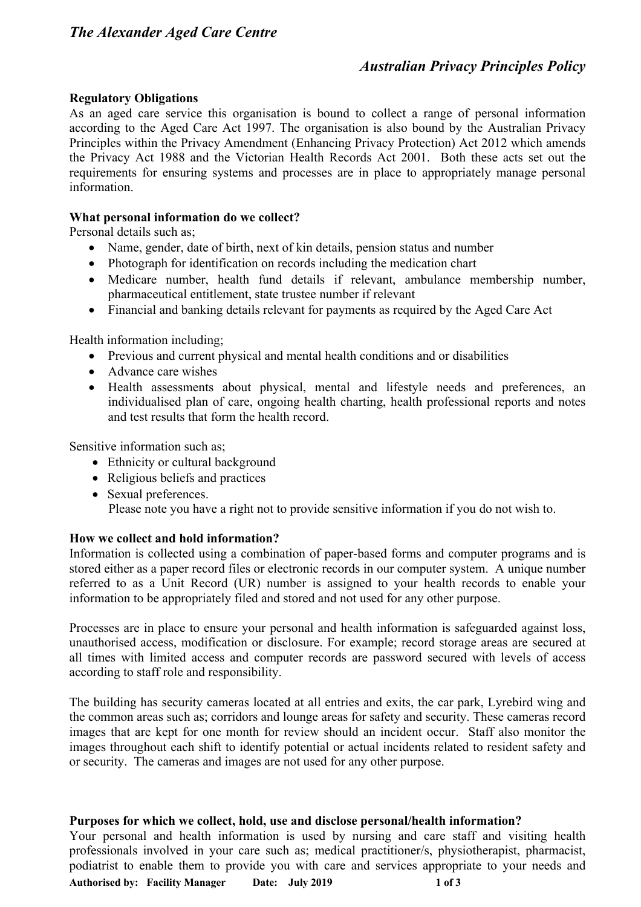# *Australian Privacy Principles Policy*

### **Regulatory Obligations**

As an aged care service this organisation is bound to collect a range of personal information according to the Aged Care Act 1997. The organisation is also bound by the Australian Privacy Principles within the Privacy Amendment (Enhancing Privacy Protection) Act 2012 which amends the Privacy Act 1988 and the Victorian Health Records Act 2001. Both these acts set out the requirements for ensuring systems and processes are in place to appropriately manage personal information.

### **What personal information do we collect?**

Personal details such as;

- Name, gender, date of birth, next of kin details, pension status and number
- Photograph for identification on records including the medication chart
- Medicare number, health fund details if relevant, ambulance membership number, pharmaceutical entitlement, state trustee number if relevant
- Financial and banking details relevant for payments as required by the Aged Care Act

Health information including;

- Previous and current physical and mental health conditions and or disabilities
- Advance care wishes
- Health assessments about physical, mental and lifestyle needs and preferences, an individualised plan of care, ongoing health charting, health professional reports and notes and test results that form the health record.

Sensitive information such as;

- Ethnicity or cultural background
- Religious beliefs and practices
- Sexual preferences. Please note you have a right not to provide sensitive information if you do not wish to.

#### **How we collect and hold information?**

Information is collected using a combination of paper-based forms and computer programs and is stored either as a paper record files or electronic records in our computer system. A unique number referred to as a Unit Record (UR) number is assigned to your health records to enable your information to be appropriately filed and stored and not used for any other purpose.

Processes are in place to ensure your personal and health information is safeguarded against loss, unauthorised access, modification or disclosure. For example; record storage areas are secured at all times with limited access and computer records are password secured with levels of access according to staff role and responsibility.

The building has security cameras located at all entries and exits, the car park, Lyrebird wing and the common areas such as; corridors and lounge areas for safety and security. These cameras record images that are kept for one month for review should an incident occur. Staff also monitor the images throughout each shift to identify potential or actual incidents related to resident safety and or security. The cameras and images are not used for any other purpose.

#### **Purposes for which we collect, hold, use and disclose personal/health information?**

**Authorised by: Facility Manager Date: July 2019 1 of 3** Your personal and health information is used by nursing and care staff and visiting health professionals involved in your care such as; medical practitioner/s, physiotherapist, pharmacist, podiatrist to enable them to provide you with care and services appropriate to your needs and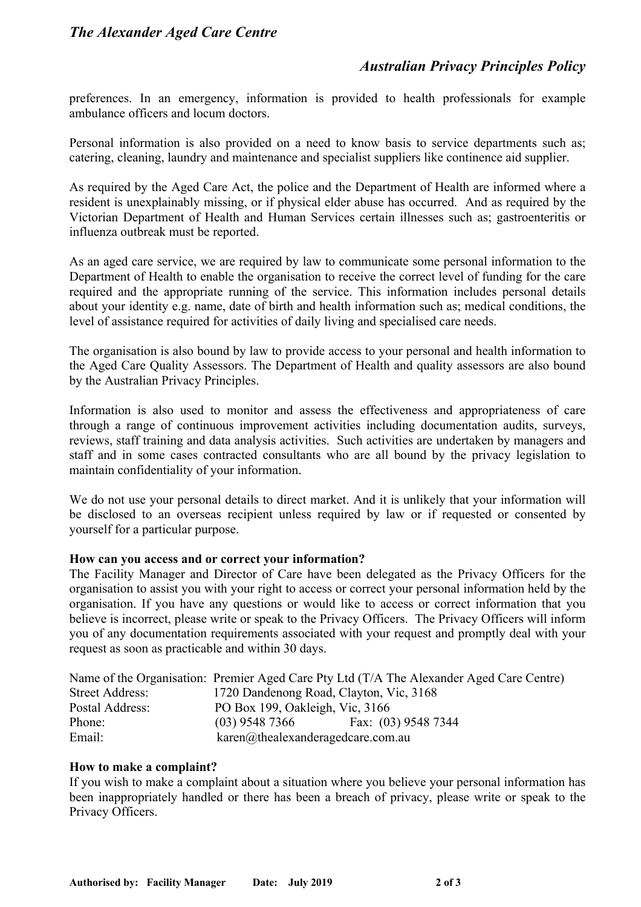# *Australian Privacy Principles Policy*

preferences. In an emergency, information is provided to health professionals for example ambulance officers and locum doctors.

Personal information is also provided on a need to know basis to service departments such as; catering, cleaning, laundry and maintenance and specialist suppliers like continence aid supplier.

As required by the Aged Care Act, the police and the Department of Health are informed where a resident is unexplainably missing, or if physical elder abuse has occurred. And as required by the Victorian Department of Health and Human Services certain illnesses such as; gastroenteritis or influenza outbreak must be reported.

As an aged care service, we are required by law to communicate some personal information to the Department of Health to enable the organisation to receive the correct level of funding for the care required and the appropriate running of the service. This information includes personal details about your identity e.g. name, date of birth and health information such as; medical conditions, the level of assistance required for activities of daily living and specialised care needs.

The organisation is also bound by law to provide access to your personal and health information to the Aged Care Quality Assessors. The Department of Health and quality assessors are also bound by the Australian Privacy Principles.

Information is also used to monitor and assess the effectiveness and appropriateness of care through a range of continuous improvement activities including documentation audits, surveys, reviews, staff training and data analysis activities. Such activities are undertaken by managers and staff and in some cases contracted consultants who are all bound by the privacy legislation to maintain confidentiality of your information.

We do not use your personal details to direct market. And it is unlikely that your information will be disclosed to an overseas recipient unless required by law or if requested or consented by yourself for a particular purpose.

#### **How can you access and or correct your information?**

The Facility Manager and Director of Care have been delegated as the Privacy Officers for the organisation to assist you with your right to access or correct your personal information held by the organisation. If you have any questions or would like to access or correct information that you believe is incorrect, please write or speak to the Privacy Officers. The Privacy Officers will inform you of any documentation requirements associated with your request and promptly deal with your request as soon as practicable and within 30 days.

|                        | Name of the Organisation: Premier Aged Care Pty Ltd (T/A The Alexander Aged Care Centre) |
|------------------------|------------------------------------------------------------------------------------------|
| <b>Street Address:</b> | 1720 Dandenong Road, Clayton, Vic, 3168                                                  |
| Postal Address:        | PO Box 199, Oakleigh, Vic, 3166                                                          |
| Phone:                 | Fax: (03) 9548 7344<br>$(03)$ 9548 7366                                                  |
| Email:                 | karen@thealexanderagedcare.com.au                                                        |

#### **How to make a complaint?**

If you wish to make a complaint about a situation where you believe your personal information has been inappropriately handled or there has been a breach of privacy, please write or speak to the Privacy Officers.